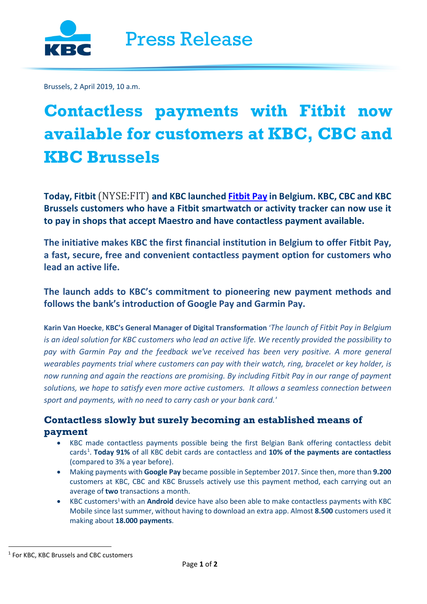Brussels, 2 April 2019, 10 a.m.

# **Contactless payments with Fitbit now available for customers at KBC, CBC and KBC Brussels**

**Today, Fitbit** (NYSE:FIT) **and KBC launched [Fitbit Pay](https://www.fitbit.com/fitbit-pay) in Belgium. KBC, CBC and KBC Brussels customers who have a Fitbit smartwatch or activity tracker can now use it to pay in shops that accept Maestro and have contactless payment available.** 

**The initiative makes KBC the first financial institution in Belgium to offer Fitbit Pay, a fast, secure, free and convenient contactless payment option for customers who lead an active life.** 

**The launch adds to KBC's commitment to pioneering new payment methods and follows the bank's introduction of Google Pay and Garmin Pay.** 

**Karin Van Hoecke**, **KBC's General Manager of Digital Transformation** '*The launch of Fitbit Pay in Belgium is an ideal solution for KBC customers who lead an active life. We recently provided the possibility to pay with Garmin Pay and the feedback we've received has been very positive. A more general wearables payments trial where customers can pay with their watch, ring, bracelet or key holder, is now running and again the reactions are promising. By including Fitbit Pay in our range of payment*  solutions, we hope to satisfy even more active customers. It allows a seamless connection between *sport and payments, with no need to carry cash or your bank card.'*

## **Contactless slowly but surely becoming an established means of payment**

- KBC made contactless payments possible being the first Belgian Bank offering contactless debit cards<sup>[1](#page-0-0)</sup>. Today 91% of all KBC debit cards are contactless and 10% of the payments are contactless (compared to 3% a year before).
- Making payments with **Google Pay** became possible in September 2017. Since then, more than **9.200** customers at KBC, CBC and KBC Brussels actively use this payment method, each carrying out an average of **two** transactions a month.
- KBC customers1with an **Android** device have also been able to make contactless payments with KBC Mobile since last summer, without having to download an extra app. Almost **8.500** customers used it making about **18.000 payments**.

<span id="page-0-0"></span> <sup>1</sup> For KBC, KBC Brussels and CBC customers